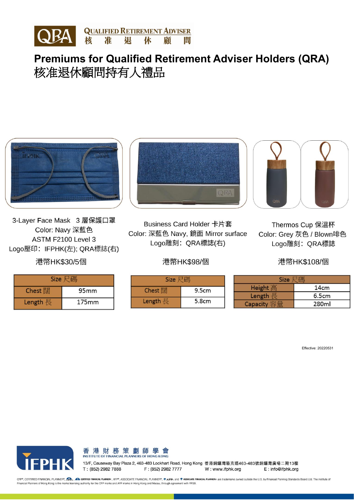

**Premiums for Qualified Retirement Adviser Holders (QRA)** 核准退休顧問持有人禮品

3-Layer Face Mask 3 層保護口罩 Color: Navy 深藍色 ASTM F2100 Level 3 Logo壓印: IFPHK(左); QRA標誌(右)

### 港幣HK\$30/5個

| Size 尺碼  |       |  |
|----------|-------|--|
| Chest 闊  | 95mm  |  |
| Length 長 | 175mm |  |



Business Card Holder 卡片套 Color: 深藍色 Navy, 鏡面 Mirror surface Logo雕刻: QRA標誌(右)

## 港幣HK\$98/個



Thermos Cup 保溫杯 Color: Grey 灰色 / Blown啡色 Logo雕刻: QRA標誌

### 港幣HK\$108/個

| Size 尺碼  |       |  |  |
|----------|-------|--|--|
| Chest 闊  | 9.5cm |  |  |
| Length 長 | 5.8cm |  |  |

| <b>Size</b> |                  |  |  |
|-------------|------------------|--|--|
| Height 高    | 14 <sub>cm</sub> |  |  |
| Length 長    | 6.5cm            |  |  |
| Capacity 容量 | 280ml            |  |  |

Effective: 20220531



香港財務策劃師學會 **INSTITUTE OF FINANCIAL PLANNERS OF HONG KONG** 

13/F, Causeway Bay Plaza 2, 463-483 Lockhart Road, Hong Kong 香港銅鑼灣駱克道463-483號銅鑼灣廣場二期13樓 T: (852) 2982 7888 F: (852) 2982 7777 E: info@ifphk.org W: www.ifphk.org

CFP®, CERTIFIED FINANCIAL PLANNER®, 2 CERTIFIED FINARIAL PLANNER®, AFP®, ASSOCIATE FINANCIAL PLANNER®,  $\hat{\Phi}$ AFP+, and  $\hat{\Phi}$  ASSOCIATE FINARIAL PLANNER®, ASSOCIATE FINARIAL PLANNER®,  $\hat{\Phi}$ AFP+, and  $\hat{\Phi}$  ASSOCIATE F Financial Planners of Hong Kong is the marks licensing authority for the CFP marks and AFP marks in Hong Kong and Macau, through agreement with FPSB.